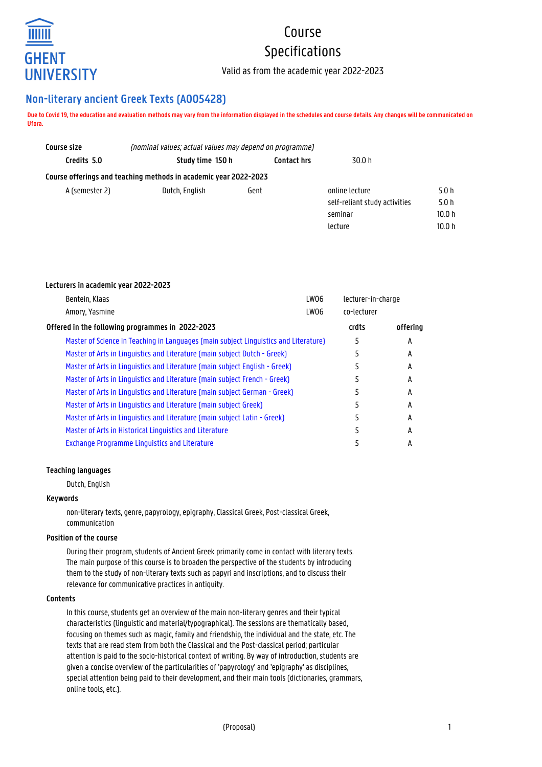

# Course Specifications

Valid as from the academic year 2022-2023

# **Non-literary ancient Greek Texts (A005428)**

**Due to Covid 19, the education and evaluation methods may vary from the information displayed in the schedules and course details. Any changes will be communicated on Ufora.**

| Course size    | (nominal values; actual values may depend on programme)          |                    |                               |        |
|----------------|------------------------------------------------------------------|--------------------|-------------------------------|--------|
| Credits 5.0    | Study time 150 h                                                 | <b>Contact hrs</b> | 30.0 h                        |        |
|                | Course offerings and teaching methods in academic year 2022-2023 |                    |                               |        |
| A (semester 2) | Dutch, English                                                   | Gent               | online lecture                | 5.0h   |
|                |                                                                  |                    | self-reliant study activities | 5.0h   |
|                |                                                                  |                    | seminar                       | 10.0 h |
|                |                                                                  |                    | lecture                       | 10.0 h |

# **Lecturers in academic year 2022-2023**

| Bentein, Klaas                                                                       | LW06 | lecturer-in-charge |          |
|--------------------------------------------------------------------------------------|------|--------------------|----------|
| Amory, Yasmine                                                                       | LW06 | co-lecturer        |          |
| Offered in the following programmes in 2022-2023                                     |      | crdts              | offering |
| Master of Science in Teaching in Languages (main subject Linguistics and Literature) |      |                    | А        |
| Master of Arts in Linguistics and Literature (main subject Dutch - Greek)            |      |                    | А        |
| Master of Arts in Linguistics and Literature (main subject English - Greek)          |      |                    | А        |
| Master of Arts in Linguistics and Literature (main subject French - Greek)           |      |                    | А        |
| Master of Arts in Linguistics and Literature (main subject German - Greek)           |      |                    | А        |
| Master of Arts in Linguistics and Literature (main subject Greek)                    |      |                    | А        |
| Master of Arts in Linguistics and Literature (main subject Latin - Greek)            |      |                    | A        |
| Master of Arts in Historical Linguistics and Literature                              |      |                    | А        |
| <b>Exchange Programme Linguistics and Literature</b>                                 |      |                    | А        |

# **Teaching languages**

Dutch, English

#### **Keywords**

non-literary texts, genre, papyrology, epigraphy, Classical Greek, Post-classical Greek, communication

# **Position of the course**

During their program, students of Ancient Greek primarily come in contact with literary texts. The main purpose of this course is to broaden the perspective of the students by introducing them to the study of non-literary texts such as papyri and inscriptions, and to discuss their relevance for communicative practices in antiquity.

# **Contents**

In this course, students get an overview of the main non-literary genres and their typical characteristics (linguistic and material/typographical). The sessions are thematically based, focusing on themes such as magic, family and friendship, the individual and the state, etc. The texts that are read stem from both the Classical and the Post-classical period; particular attention is paid to the socio-historical context of writing. By way of introduction, students are given a concise overview of the particularities of 'papyrology' and 'epigraphy' as disciplines, special attention being paid to their development, and their main tools (dictionaries, grammars, online tools, etc.).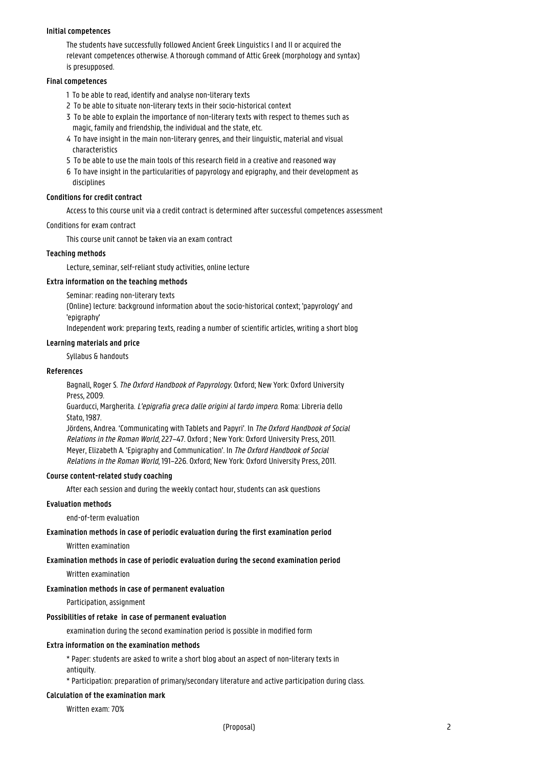#### **Initial competences**

The students have successfully followed Ancient Greek Linguistics I and II or acquired the relevant competences otherwise. A thorough command of Attic Greek (morphology and syntax) is presupposed.

#### **Final competences**

- 1 To be able to read, identify and analyse non-literary texts
- 2 To be able to situate non-literary texts in their socio-historical context
- 3 To be able to explain the importance of non-literary texts with respect to themes such as magic, family and friendship, the individual and the state, etc.
- 4 To have insight in the main non-literary genres, and their linguistic, material and visual 1 characteristics
- 5 To be able to use the main tools of this research field in a creative and reasoned way
- 6 To have insight in the particularities of papyrology and epigraphy, and their development as disciplines

# **Conditions for credit contract**

Access to this course unit via a credit contract is determined after successful competences assessment

# Conditions for exam contract

This course unit cannot be taken via an exam contract

# **Teaching methods**

Lecture, seminar, self-reliant study activities, online lecture

#### **Extra information on the teaching methods**

Seminar: reading non-literary texts

(Online) lecture: background information about the socio-historical context; 'papyrology' and 'enigraphy'

Independent work: preparing texts, reading a number of scientific articles, writing a short blog

# **Learning materials and price**

Syllabus & handouts

#### **References**

Bagnall, Roger S. The Oxford Handbook of Papyrology. Oxford; New York: Oxford University Press, 2009.

Guarducci, Margherita. L'epigrafia greca dalle origini al tardo impero. Roma: Libreria dello Stato, 1987.

Jördens, Andrea. 'Communicating with Tablets and Papyri'. In The Oxford Handbook of Social Relations in the Roman World, 227–47. Oxford ; New York: Oxford University Press, 2011. Meyer, Elizabeth A. 'Epigraphy and Communication'. In The Oxford Handbook of Social Relations in the Roman World, 191–226. Oxford; New York: Oxford University Press, 2011.

#### **Course content-related study coaching**

After each session and during the weekly contact hour, students can ask questions

# **Evaluation methods**

end-of-term evaluation

# **Examination methods in case of periodic evaluation during the first examination period**

Written examination

#### **Examination methods in case of periodic evaluation during the second examination period**

Written examination

#### **Examination methods in case of permanent evaluation**

Participation, assignment

#### **Possibilities of retake in case of permanent evaluation**

examination during the second examination period is possible in modified form

#### **Extra information on the examination methods**

\* Paper: students are asked to write a short blog about an aspect of non-literary texts in antiquity.

\* Participation: preparation of primary/secondary literature and active participation during class.

# **Calculation of the examination mark**

Written exam: 70%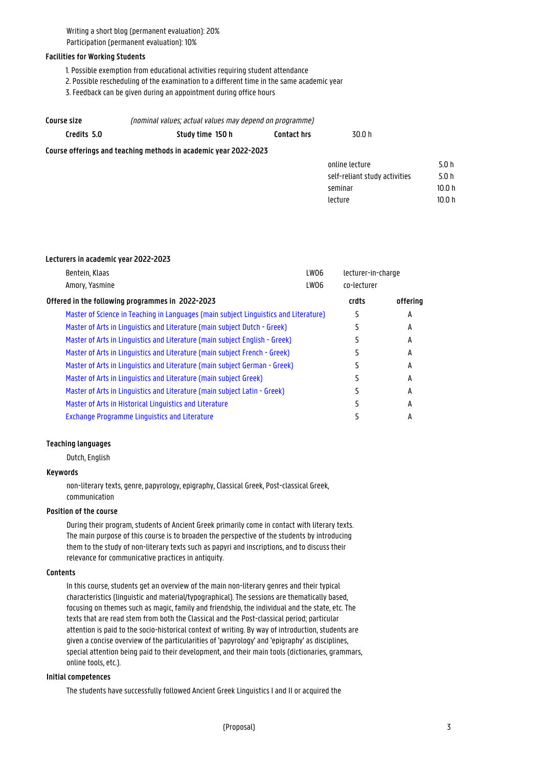Writing a short blog (permanent evaluation): 20% Participation (permanent evaluation): 10%

# **Facilities for Working Students**

- 1. Possible exemption from educational activities requiring student attendance
- 2. Possible rescheduling of the examination to a different time in the same academic year
- 3. Feedback can be given during an appointment during office hours

| Course size | (nominal values; actual values may depend on programme)          |                    |                               |        |
|-------------|------------------------------------------------------------------|--------------------|-------------------------------|--------|
| Credits 5.0 | Study time 150 h                                                 | <b>Contact hrs</b> | 30.0 h                        |        |
|             | Course offerings and teaching methods in academic year 2022-2023 |                    |                               |        |
|             |                                                                  |                    | online lecture                | 5.0h   |
|             |                                                                  |                    | self-reliant study activities | 5.0h   |
|             |                                                                  |                    | seminar                       | 10.0 h |

lecture 10.0 h

#### **Lecturers in academic year 2022-2023**

| Bentein, Klaas                                                                       | LW06 | lecturer-in-charge |          |
|--------------------------------------------------------------------------------------|------|--------------------|----------|
| Amory, Yasmine                                                                       | LW06 | co-lecturer        |          |
| Offered in the following programmes in 2022-2023                                     |      | crdts              | offering |
| Master of Science in Teaching in Languages (main subject Linguistics and Literature) |      | 5                  | A        |
| Master of Arts in Linguistics and Literature (main subject Dutch - Greek)            |      |                    | A        |
| Master of Arts in Linguistics and Literature (main subject English - Greek)          |      |                    | А        |
| Master of Arts in Linguistics and Literature (main subject French - Greek)           |      |                    | А        |
| Master of Arts in Linguistics and Literature (main subject German - Greek)           |      |                    | А        |
| Master of Arts in Linguistics and Literature (main subject Greek)                    |      | 5                  | А        |
| Master of Arts in Linguistics and Literature (main subject Latin - Greek)            |      |                    | А        |
| Master of Arts in Historical Linguistics and Literature                              |      |                    | А        |
| <b>Exchange Programme Linguistics and Literature</b>                                 |      |                    | А        |

#### **Teaching languages**

Dutch, English

# **Keywords**

non-literary texts, genre, papyrology, epigraphy, Classical Greek, Post-classical Greek, communication

#### **Position of the course**

During their program, students of Ancient Greek primarily come in contact with literary texts. The main purpose of this course is to broaden the perspective of the students by introducing them to the study of non-literary texts such as papyri and inscriptions, and to discuss their relevance for communicative practices in antiquity.

#### **Contents**

In this course, students get an overview of the main non-literary genres and their typical characteristics (linguistic and material/typographical). The sessions are thematically based, focusing on themes such as magic, family and friendship, the individual and the state, etc. The texts that are read stem from both the Classical and the Post-classical period; particular attention is paid to the socio-historical context of writing. By way of introduction, students are given a concise overview of the particularities of 'papyrology' and 'epigraphy' as disciplines, special attention being paid to their development, and their main tools (dictionaries, grammars, online tools, etc.).

#### **Initial competences**

The students have successfully followed Ancient Greek Linguistics I and II or acquired the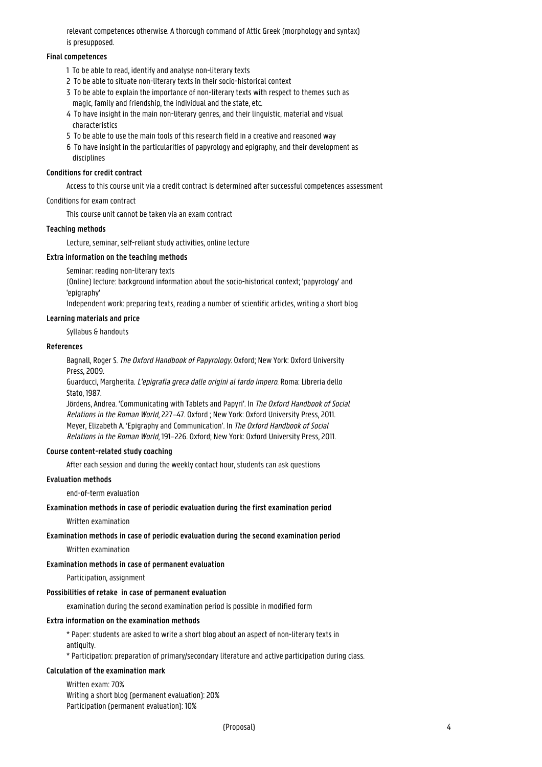relevant competences otherwise. A thorough command of Attic Greek (morphology and syntax) is presupposed.

# **Final competences**

- 1 To be able to read, identify and analyse non-literary texts
- 2 To be able to situate non-literary texts in their socio-historical context
- 3 To be able to explain the importance of non-literary texts with respect to themes such as magic, family and friendship, the individual and the state, etc.
- 4 To have insight in the main non-literary genres, and their linguistic, material and visual **characteristics**
- 5 To be able to use the main tools of this research field in a creative and reasoned way
- 6 To have insight in the particularities of papyrology and epigraphy, and their development as disciplines

# **Conditions for credit contract**

Access to this course unit via a credit contract is determined after successful competences assessment

# Conditions for exam contract

This course unit cannot be taken via an exam contract

# **Teaching methods**

Lecture, seminar, self-reliant study activities, online lecture

# **Extra information on the teaching methods**

Seminar: reading non-literary texts

(Online) lecture: background information about the socio-historical context; 'papyrology' and 'epigraphy'

Independent work: preparing texts, reading a number of scientific articles, writing a short blog

# **Learning materials and price**

Syllabus & handouts

#### **References**

Bagnall, Roger S. The Oxford Handbook of Papyrology. Oxford; New York: Oxford University Press, 2009.

Guarducci, Margherita. L'epigrafia greca dalle origini al tardo impero. Roma: Libreria dello Stato, 1987.

Jördens, Andrea. 'Communicating with Tablets and Papyri'. In The Oxford Handbook of Social Relations in the Roman World, 227–47. Oxford ; New York: Oxford University Press, 2011. Meyer, Elizabeth A. 'Epigraphy and Communication'. In The Oxford Handbook of Social Relations in the Roman World, 191–226. Oxford; New York: Oxford University Press, 2011.

#### **Course content-related study coaching**

After each session and during the weekly contact hour, students can ask questions

## **Evaluation methods**

end-of-term evaluation

#### **Examination methods in case of periodic evaluation during the first examination period**

Written examination

# **Examination methods in case of periodic evaluation during the second examination period**

Written examination

#### **Examination methods in case of permanent evaluation**

Participation, assignment

#### **Possibilities of retake in case of permanent evaluation**

examination during the second examination period is possible in modified form

#### **Extra information on the examination methods**

\* Paper: students are asked to write a short blog about an aspect of non-literary texts in antiquity

\* Participation: preparation of primary/secondary literature and active participation during class.

#### **Calculation of the examination mark**

Written exam: 70% Writing a short blog (permanent evaluation): 20% Participation (permanent evaluation): 10%